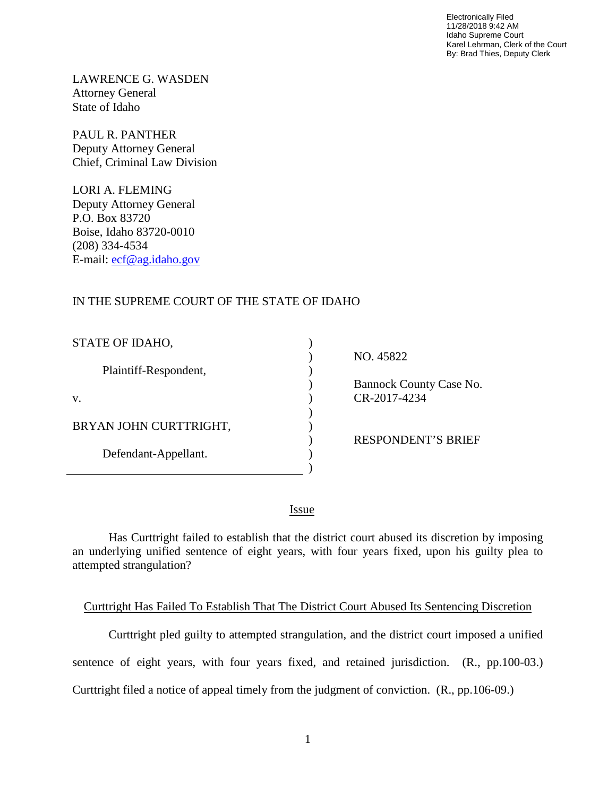Electronically Filed 11/28/2018 9:42 AM Idaho Supreme Court Karel Lehrman, Clerk of the Court By: Brad Thies, Deputy Clerk

LAWRENCE G. WASDEN Attorney General State of Idaho

PAUL R. PANTHER Deputy Attorney General Chief, Criminal Law Division

LORI A. FLEMING Deputy Attorney General P.O. Box 83720 Boise, Idaho 83720-0010 (208) 334-4534 E-mail: [ecf@ag.idaho.gov](mailto:ecf@ag.idaho.gov)

## IN THE SUPREME COURT OF THE STATE OF IDAHO

| STATE OF IDAHO,        |                           |
|------------------------|---------------------------|
|                        | NO. 45822                 |
| Plaintiff-Respondent,  |                           |
|                        | Bannock County Case No.   |
| V.                     | CR-2017-4234              |
|                        |                           |
| BRYAN JOHN CURTTRIGHT, |                           |
|                        | <b>RESPONDENT'S BRIEF</b> |
| Defendant-Appellant.   |                           |
|                        |                           |

<u>Issue</u>

Has Curttright failed to establish that the district court abused its discretion by imposing an underlying unified sentence of eight years, with four years fixed, upon his guilty plea to attempted strangulation?

#### Curttright Has Failed To Establish That The District Court Abused Its Sentencing Discretion

Curttright pled guilty to attempted strangulation, and the district court imposed a unified sentence of eight years, with four years fixed, and retained jurisdiction. (R., pp.100-03.) Curttright filed a notice of appeal timely from the judgment of conviction. (R., pp.106-09.)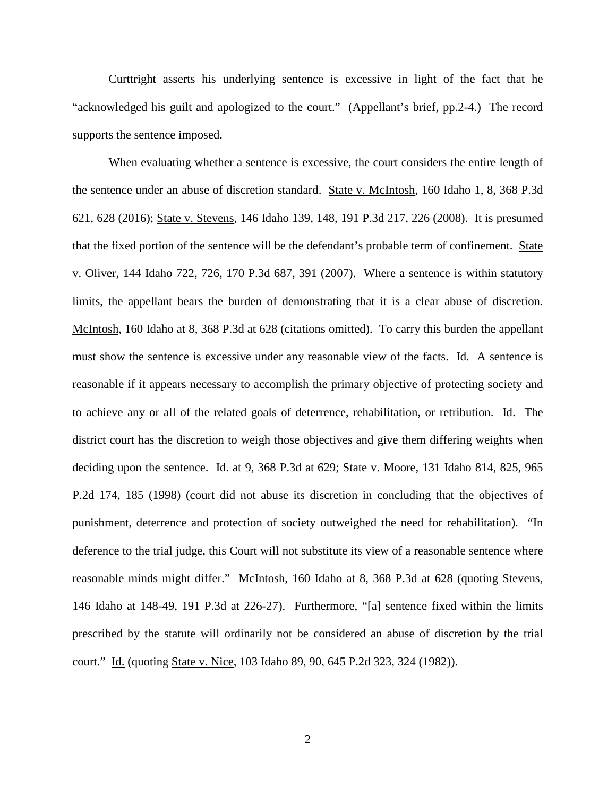Curttright asserts his underlying sentence is excessive in light of the fact that he "acknowledged his guilt and apologized to the court." (Appellant's brief, pp.2-4.) The record supports the sentence imposed.

When evaluating whether a sentence is excessive, the court considers the entire length of the sentence under an abuse of discretion standard. State v. McIntosh, 160 Idaho 1, 8, 368 P.3d 621, 628 (2016); State v. Stevens, 146 Idaho 139, 148, 191 P.3d 217, 226 (2008). It is presumed that the fixed portion of the sentence will be the defendant's probable term of confinement. State v. Oliver, 144 Idaho 722, 726, 170 P.3d 687, 391 (2007). Where a sentence is within statutory limits, the appellant bears the burden of demonstrating that it is a clear abuse of discretion. McIntosh, 160 Idaho at 8, 368 P.3d at 628 (citations omitted). To carry this burden the appellant must show the sentence is excessive under any reasonable view of the facts. Id. A sentence is reasonable if it appears necessary to accomplish the primary objective of protecting society and to achieve any or all of the related goals of deterrence, rehabilitation, or retribution. Id. The district court has the discretion to weigh those objectives and give them differing weights when deciding upon the sentence. Id. at 9, 368 P.3d at 629; State v. Moore, 131 Idaho 814, 825, 965 P.2d 174, 185 (1998) (court did not abuse its discretion in concluding that the objectives of punishment, deterrence and protection of society outweighed the need for rehabilitation). "In deference to the trial judge, this Court will not substitute its view of a reasonable sentence where reasonable minds might differ." McIntosh, 160 Idaho at 8, 368 P.3d at 628 (quoting Stevens, 146 Idaho at 148-49, 191 P.3d at 226-27). Furthermore, "[a] sentence fixed within the limits prescribed by the statute will ordinarily not be considered an abuse of discretion by the trial court." Id. (quoting State v. Nice, 103 Idaho 89, 90, 645 P.2d 323, 324 (1982)).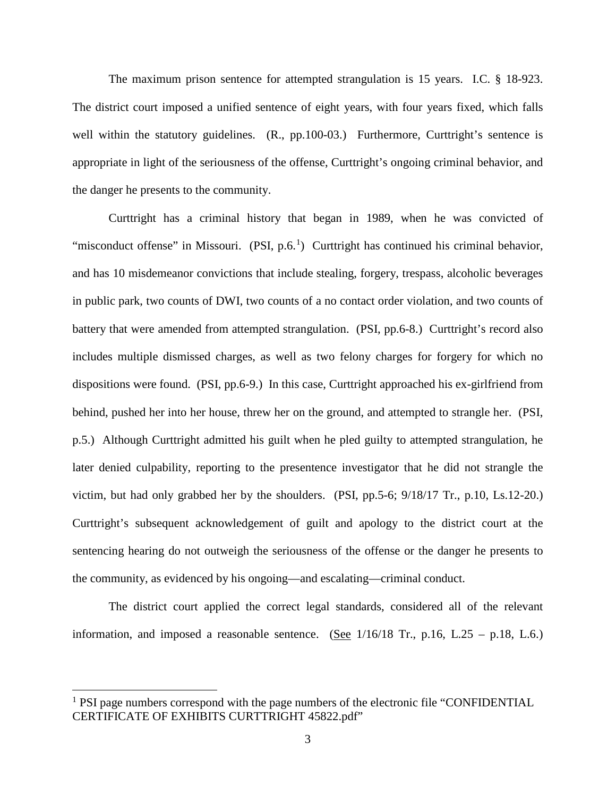The maximum prison sentence for attempted strangulation is 15 years. I.C. § 18-923. The district court imposed a unified sentence of eight years, with four years fixed, which falls well within the statutory guidelines. (R., pp.100-03.) Furthermore, Curttright's sentence is appropriate in light of the seriousness of the offense, Curttright's ongoing criminal behavior, and the danger he presents to the community.

Curttright has a criminal history that began in 1989, when he was convicted of "misconduct offense" in Missouri.  $(PSI, p.6<sup>1</sup>)$  $(PSI, p.6<sup>1</sup>)$  $(PSI, p.6<sup>1</sup>)$  Curttright has continued his criminal behavior, and has 10 misdemeanor convictions that include stealing, forgery, trespass, alcoholic beverages in public park, two counts of DWI, two counts of a no contact order violation, and two counts of battery that were amended from attempted strangulation. (PSI, pp.6-8.) Curttright's record also includes multiple dismissed charges, as well as two felony charges for forgery for which no dispositions were found. (PSI, pp.6-9.) In this case, Curttright approached his ex-girlfriend from behind, pushed her into her house, threw her on the ground, and attempted to strangle her. (PSI, p.5.) Although Curttright admitted his guilt when he pled guilty to attempted strangulation, he later denied culpability, reporting to the presentence investigator that he did not strangle the victim, but had only grabbed her by the shoulders. (PSI, pp.5-6; 9/18/17 Tr., p.10, Ls.12-20.) Curttright's subsequent acknowledgement of guilt and apology to the district court at the sentencing hearing do not outweigh the seriousness of the offense or the danger he presents to the community, as evidenced by his ongoing—and escalating—criminal conduct.

The district court applied the correct legal standards, considered all of the relevant information, and imposed a reasonable sentence. (See  $1/16/18$  Tr., p.16, L.25 – p.18, L.6.)

 $\overline{a}$ 

<sup>&</sup>lt;sup>1</sup> PSI page numbers correspond with the page numbers of the electronic file "CONFIDENTIAL" CERTIFICATE OF EXHIBITS CURTTRIGHT 45822.pdf"